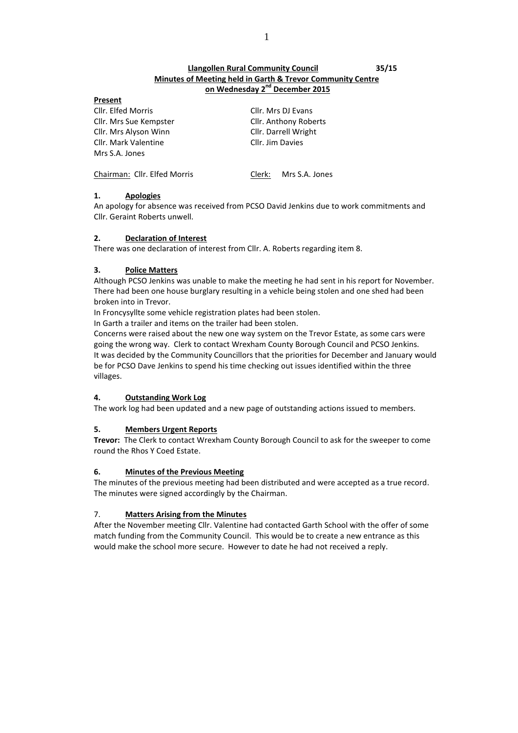# **Llangollen Rural Community Council 35/15 Minutes of Meeting held in Garth & Trevor Community Centre on Wednesday 2 nd December 2015**

| г<br>н<br>ı |  |
|-------------|--|
|             |  |

Cllr. Elfed Morris Cllr. Mrs DJ Evans Cllr. Mrs Sue Kempster Cllr. Anthony Roberts Cllr. Mrs Alyson Winn Cllr. Darrell Wright Cllr. Mark Valentine Cllr. Jim Davies Mrs S.A. Jones

Chairman: Cllr. Elfed Morris Clerk: Mrs S.A. Jones

# **1. Apologies**

An apology for absence was received from PCSO David Jenkins due to work commitments and Cllr. Geraint Roberts unwell.

# **2. Declaration of Interest**

There was one declaration of interest from Cllr. A. Roberts regarding item 8.

# **3. Police Matters**

Although PCSO Jenkins was unable to make the meeting he had sent in his report for November. There had been one house burglary resulting in a vehicle being stolen and one shed had been broken into in Trevor.

In Froncysyllte some vehicle registration plates had been stolen.

In Garth a trailer and items on the trailer had been stolen.

Concerns were raised about the new one way system on the Trevor Estate, as some cars were going the wrong way. Clerk to contact Wrexham County Borough Council and PCSO Jenkins. It was decided by the Community Councillors that the priorities for December and January would be for PCSO Dave Jenkins to spend his time checking out issues identified within the three villages.

# **4. Outstanding Work Log**

The work log had been updated and a new page of outstanding actions issued to members.

# **5. Members Urgent Reports**

**Trevor:** The Clerk to contact Wrexham County Borough Council to ask for the sweeper to come round the Rhos Y Coed Estate.

# **6. Minutes of the Previous Meeting**

The minutes of the previous meeting had been distributed and were accepted as a true record. The minutes were signed accordingly by the Chairman.

# 7. **Matters Arising from the Minutes**

After the November meeting Cllr. Valentine had contacted Garth School with the offer of some match funding from the Community Council. This would be to create a new entrance as this would make the school more secure. However to date he had not received a reply.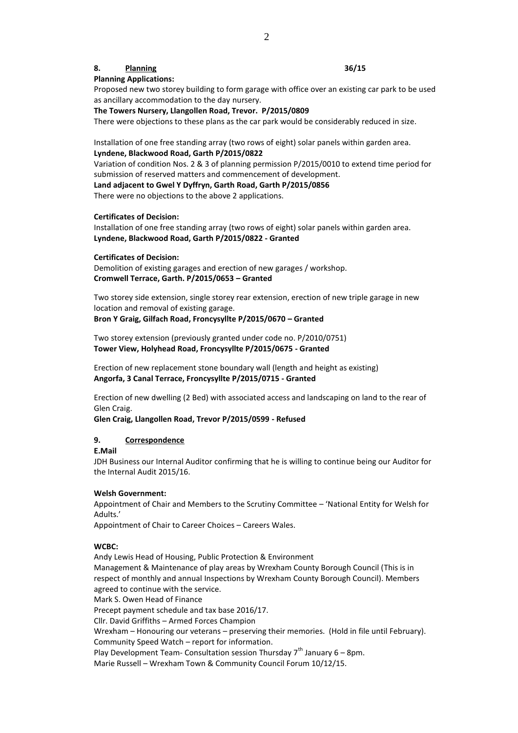## **8. Planning 36/15**

# **Planning Applications:**

Proposed new two storey building to form garage with office over an existing car park to be used as ancillary accommodation to the day nursery.

**The Towers Nursery, Llangollen Road, Trevor. P/2015/0809**

There were objections to these plans as the car park would be considerably reduced in size.

Installation of one free standing array (two rows of eight) solar panels within garden area. **Lyndene, Blackwood Road, Garth P/2015/0822**

Variation of condition Nos. 2 & 3 of planning permission P/2015/0010 to extend time period for submission of reserved matters and commencement of development.

**Land adjacent to Gwel Y Dyffryn, Garth Road, Garth P/2015/0856**

There were no objections to the above 2 applications.

#### **Certificates of Decision:**

Installation of one free standing array (two rows of eight) solar panels within garden area. **Lyndene, Blackwood Road, Garth P/2015/0822 - Granted**

#### **Certificates of Decision:**

Demolition of existing garages and erection of new garages / workshop. **Cromwell Terrace, Garth. P/2015/0653 – Granted**

Two storey side extension, single storey rear extension, erection of new triple garage in new location and removal of existing garage. **Bron Y Graig, Gilfach Road, Froncysyllte P/2015/0670 – Granted**

Two storey extension (previously granted under code no. P/2010/0751) **Tower View, Holyhead Road, Froncysyllte P/2015/0675 - Granted**

Erection of new replacement stone boundary wall (length and height as existing) **Angorfa, 3 Canal Terrace, Froncysyllte P/2015/0715 - Granted**

Erection of new dwelling (2 Bed) with associated access and landscaping on land to the rear of Glen Craig.

**Glen Craig, Llangollen Road, Trevor P/2015/0599 - Refused**

## **9. Correspondence**

**E.Mail**

JDH Business our Internal Auditor confirming that he is willing to continue being our Auditor for the Internal Audit 2015/16.

#### **Welsh Government:**

Appointment of Chair and Members to the Scrutiny Committee – 'National Entity for Welsh for Adults.'

Appointment of Chair to Career Choices – Careers Wales.

## **WCBC:**

Andy Lewis Head of Housing, Public Protection & Environment Management & Maintenance of play areas by Wrexham County Borough Council (This is in respect of monthly and annual Inspections by Wrexham County Borough Council). Members agreed to continue with the service. Mark S. Owen Head of Finance Precept payment schedule and tax base 2016/17. Cllr. David Griffiths – Armed Forces Champion Wrexham – Honouring our veterans – preserving their memories. (Hold in file until February).

Community Speed Watch – report for information.

Play Development Team- Consultation session Thursday  $7<sup>th</sup>$  January 6 – 8pm.

Marie Russell – Wrexham Town & Community Council Forum 10/12/15.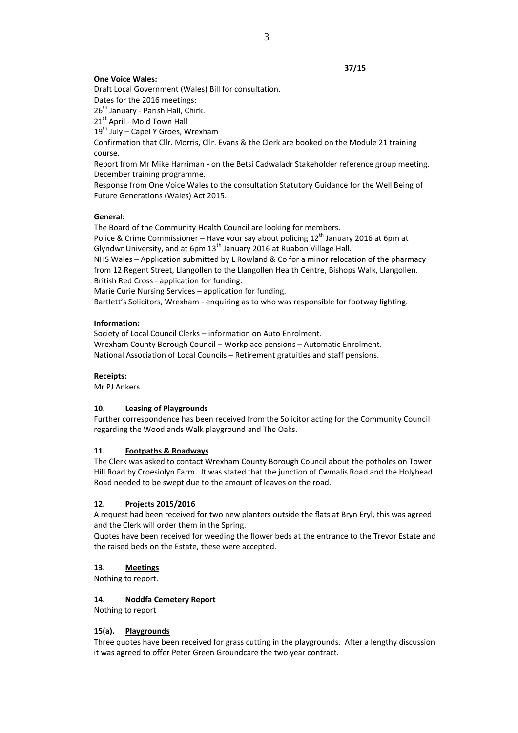## **37/15**

## **One Voice Wales:**

Draft Local Government (Wales) Bill for consultation.

Dates for the 2016 meetings:

26<sup>th</sup> January - Parish Hall, Chirk.

21st April - Mold Town Hall

 $19^{th}$  July – Capel Y Groes, Wrexham

Confirmation that Cllr. Morris, Cllr. Evans & the Clerk are booked on the Module 21 training course.

Report from Mr Mike Harriman - on the Betsi Cadwaladr Stakeholder reference group meeting. December training programme.

Response from One Voice Wales to the consultation Statutory Guidance for the Well Being of Future Generations (Wales) Act 2015.

## **General:**

The Board of the Community Health Council are looking for members.

Police & Crime Commissioner – Have your say about policing  $12<sup>th</sup>$  January 2016 at 6pm at Glyndwr University, and at 6pm 13<sup>th</sup> January 2016 at Ruabon Village Hall.

NHS Wales – Application submitted by L Rowland & Co for a minor relocation of the pharmacy from 12 Regent Street, Llangollen to the Llangollen Health Centre, Bishops Walk, Llangollen. British Red Cross - application for funding.

Marie Curie Nursing Services – application for funding.

Bartlett's Solicitors, Wrexham - enquiring as to who was responsible for footway lighting.

## **Information:**

Society of Local Council Clerks – information on Auto Enrolment. Wrexham County Borough Council – Workplace pensions – Automatic Enrolment. National Association of Local Councils – Retirement gratuities and staff pensions.

## **Receipts:**

Mr PJ Ankers

# **10. Leasing of Playgrounds**

Further correspondence has been received from the Solicitor acting for the Community Council regarding the Woodlands Walk playground and The Oaks.

## **11. Footpaths & Roadways**

The Clerk was asked to contact Wrexham County Borough Council about the potholes on Tower Hill Road by Croesiolyn Farm. It was stated that the junction of Cwmalis Road and the Holyhead Road needed to be swept due to the amount of leaves on the road.

# **12. Projects 2015/2016**

A request had been received for two new planters outside the flats at Bryn Eryl, this was agreed and the Clerk will order them in the Spring.

Quotes have been received for weeding the flower beds at the entrance to the Trevor Estate and the raised beds on the Estate, these were accepted.

# **13. Meetings**

Nothing to report.

## **14. Noddfa Cemetery Report**

Nothing to report

## **15(a). Playgrounds**

Three quotes have been received for grass cutting in the playgrounds. After a lengthy discussion it was agreed to offer Peter Green Groundcare the two year contract.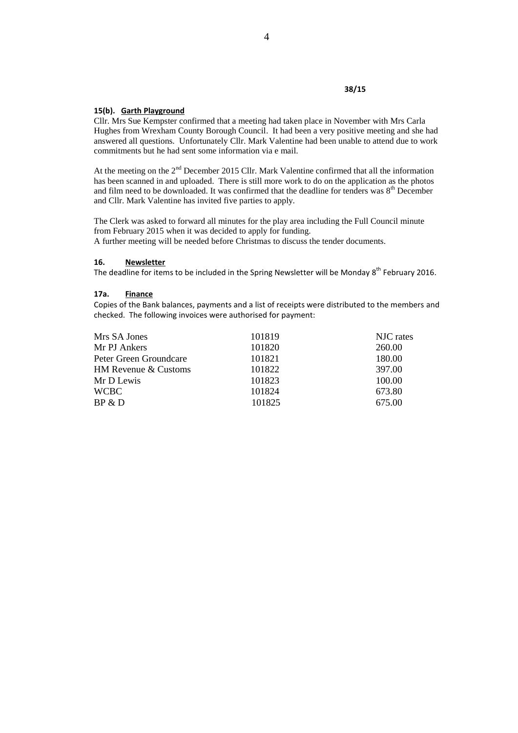## **38/15**

#### **15(b). Garth Playground**

Cllr. Mrs Sue Kempster confirmed that a meeting had taken place in November with Mrs Carla Hughes from Wrexham County Borough Council. It had been a very positive meeting and she had answered all questions. Unfortunately Cllr. Mark Valentine had been unable to attend due to work commitments but he had sent some information via e mail.

At the meeting on the 2<sup>nd</sup> December 2015 Cllr. Mark Valentine confirmed that all the information has been scanned in and uploaded. There is still more work to do on the application as the photos and film need to be downloaded. It was confirmed that the deadline for tenders was  $8<sup>th</sup>$  December and Cllr. Mark Valentine has invited five parties to apply.

The Clerk was asked to forward all minutes for the play area including the Full Council minute from February 2015 when it was decided to apply for funding.

A further meeting will be needed before Christmas to discuss the tender documents.

## **16. Newsletter**

The deadline for items to be included in the Spring Newsletter will be Monday  $8<sup>th</sup>$  February 2016.

#### **17a. Finance**

Copies of the Bank balances, payments and a list of receipts were distributed to the members and checked. The following invoices were authorised for payment:

| 101819 | NJC rates |
|--------|-----------|
| 101820 | 260.00    |
| 101821 | 180.00    |
| 101822 | 397.00    |
| 101823 | 100.00    |
| 101824 | 673.80    |
| 101825 | 675.00    |
|        |           |